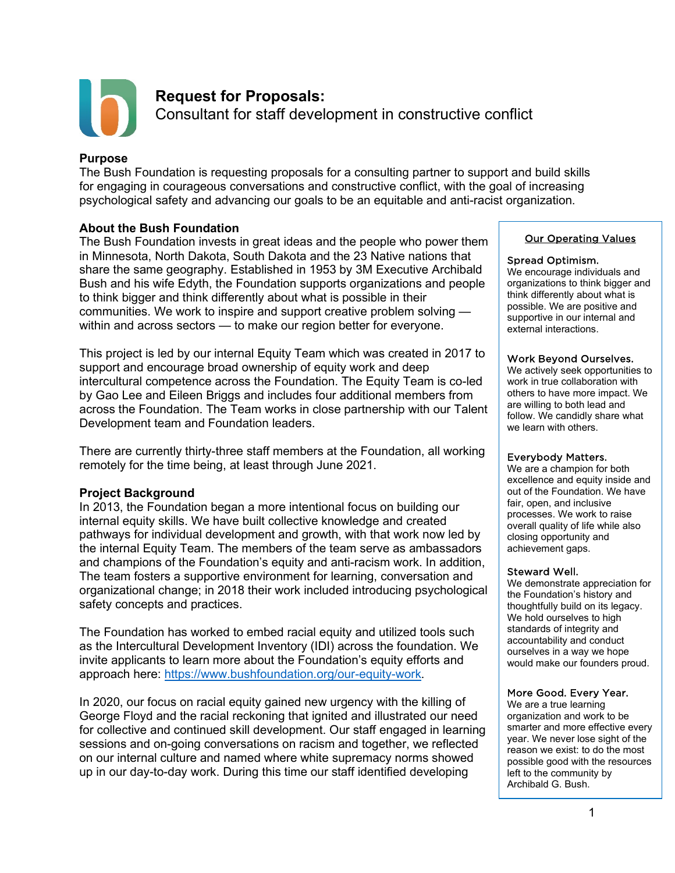

# **Request for Proposals:**

Consultant for staff development in constructive conflict

### **Purpose**

The Bush Foundation is requesting proposals for a consulting partner to support and build skills for engaging in courageous conversations and constructive conflict, with the goal of increasing psychological safety and advancing our goals to be an equitable and anti-racist organization.

# **About the Bush Foundation**

The Bush Foundation invests in great ideas and the people who power them in Minnesota, North Dakota, South Dakota and the 23 Native nations that share the same geography. Established in 1953 by 3M Executive Archibald Bush and his wife Edyth, the Foundation supports organizations and people to think bigger and think differently about what is possible in their communities. We work to inspire and support creative problem solving within and across sectors — to make our region better for everyone.

This project is led by our internal Equity Team which was created in 2017 to support and encourage broad ownership of equity work and deep intercultural competence across the Foundation. The Equity Team is co-led by Gao Lee and Eileen Briggs and includes four additional members from across the Foundation. The Team works in close partnership with our Talent Development team and Foundation leaders.

There are currently thirty-three staff members at the Foundation, all working remotely for the time being, at least through June 2021.

# **Project Background**

In 2013, the Foundation began a more intentional focus on building our internal equity skills. We have built collective knowledge and created pathways for individual development and growth, with that work now led by the internal Equity Team. The members of the team serve as ambassadors and champions of the Foundation's equity and anti-racism work. In addition, The team fosters a supportive environment for learning, conversation and organizational change; in 2018 their work included introducing psychological safety concepts and practices.

The Foundation has worked to embed racial equity and utilized tools such as the Intercultural Development Inventory (IDI) across the foundation. We invite applicants to learn more about the Foundation's equity efforts and approach here: [https://www.bushfoundation.org/our-equity-work.](https://www.bushfoundation.org/our-equity-work)

In 2020, our focus on racial equity gained new urgency with the killing of George Floyd and the racial reckoning that ignited and illustrated our need for collective and continued skill development. Our staff engaged in learning sessions and on-going conversations on racism and together, we reflected on our internal culture and named where white supremacy norms showed up in our day-to-day work. During this time our staff identified developing

#### Our Operating Values

#### Spread Optimism.

We encourage individuals and organizations to think bigger and think differently about what is possible. We are positive and supportive in our internal and external interactions.

#### Work Beyond Ourselves.

We actively seek opportunities to work in true collaboration with others to have more impact. We are willing to both lead and follow. We candidly share what we learn with others.

#### Everybody Matters.

We are a champion for both excellence and equity inside and out of the Foundation. We have fair, open, and inclusive processes. We work to raise overall quality of life while also closing opportunity and achievement gaps.

#### Steward Well.

We demonstrate appreciation for the Foundation's history and thoughtfully build on its legacy. We hold ourselves to high standards of integrity and accountability and conduct ourselves in a way we hope would make our founders proud.

#### More Good. Every Year.

We are a true learning organization and work to be smarter and more effective every year. We never lose sight of the reason we exist: to do the most possible good with the resources left to the community by Archibald G. Bush.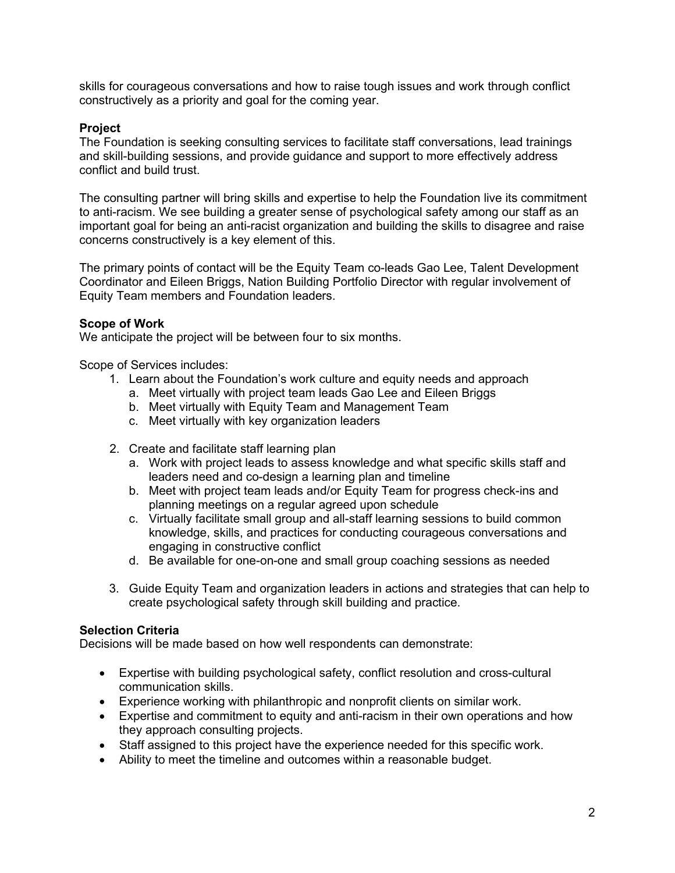skills for courageous conversations and how to raise tough issues and work through conflict constructively as a priority and goal for the coming year.

# **Project**

The Foundation is seeking consulting services to facilitate staff conversations, lead trainings and skill-building sessions, and provide guidance and support to more effectively address conflict and build trust.

The consulting partner will bring skills and expertise to help the Foundation live its commitment to anti-racism. We see building a greater sense of psychological safety among our staff as an important goal for being an anti-racist organization and building the skills to disagree and raise concerns constructively is a key element of this.

The primary points of contact will be the Equity Team co-leads Gao Lee, Talent Development Coordinator and Eileen Briggs, Nation Building Portfolio Director with regular involvement of Equity Team members and Foundation leaders.

# **Scope of Work**

We anticipate the project will be between four to six months.

Scope of Services includes:

- 1. Learn about the Foundation's work culture and equity needs and approach
	- a. Meet virtually with project team leads Gao Lee and Eileen Briggs
	- b. Meet virtually with Equity Team and Management Team
	- c. Meet virtually with key organization leaders
- 2. Create and facilitate staff learning plan
	- a. Work with project leads to assess knowledge and what specific skills staff and leaders need and co-design a learning plan and timeline
	- b. Meet with project team leads and/or Equity Team for progress check-ins and planning meetings on a regular agreed upon schedule
	- c. Virtually facilitate small group and all-staff learning sessions to build common knowledge, skills, and practices for conducting courageous conversations and engaging in constructive conflict
	- d. Be available for one-on-one and small group coaching sessions as needed
- 3. Guide Equity Team and organization leaders in actions and strategies that can help to create psychological safety through skill building and practice.

# **Selection Criteria**

Decisions will be made based on how well respondents can demonstrate:

- Expertise with building psychological safety, conflict resolution and cross-cultural communication skills.
- Experience working with philanthropic and nonprofit clients on similar work.
- Expertise and commitment to equity and anti-racism in their own operations and how they approach consulting projects.
- Staff assigned to this project have the experience needed for this specific work.
- Ability to meet the timeline and outcomes within a reasonable budget.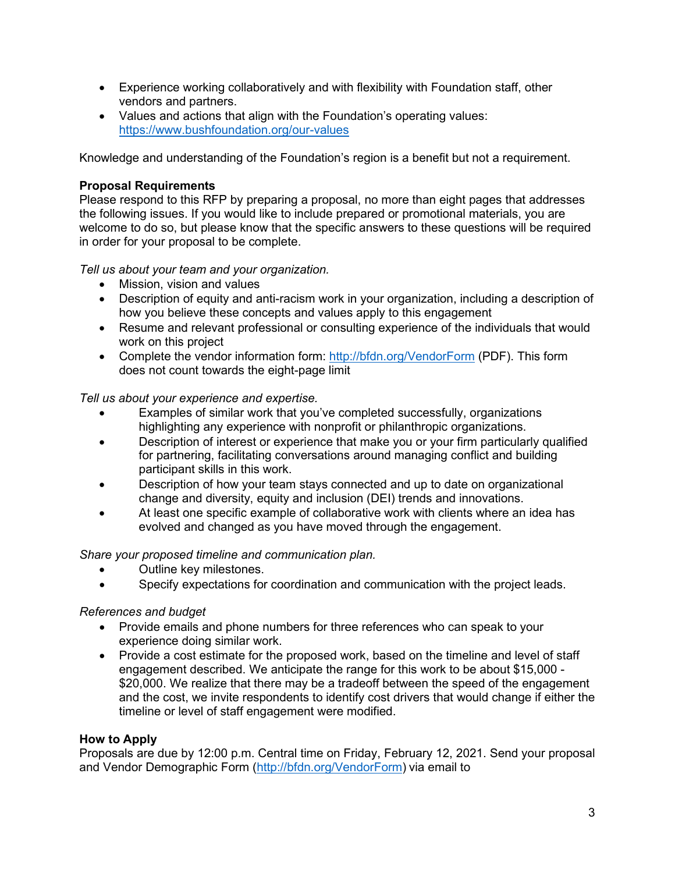- Experience working collaboratively and with flexibility with Foundation staff, other vendors and partners.
- Values and actions that align with the Foundation's operating values: <https://www.bushfoundation.org/our-values>

Knowledge and understanding of the Foundation's region is a benefit but not a requirement.

### **Proposal Requirements**

Please respond to this RFP by preparing a proposal, no more than eight pages that addresses the following issues. If you would like to include prepared or promotional materials, you are welcome to do so, but please know that the specific answers to these questions will be required in order for your proposal to be complete.

*Tell us about your team and your organization.*

- Mission, vision and values
- Description of equity and anti-racism work in your organization, including a description of how you believe these concepts and values apply to this engagement
- Resume and relevant professional or consulting experience of the individuals that would work on this project
- Complete the vendor information form:<http://bfdn.org/VendorForm> (PDF). This form does not count towards the eight-page limit

*Tell us about your experience and expertise.*

- Examples of similar work that you've completed successfully, organizations highlighting any experience with nonprofit or philanthropic organizations.
- Description of interest or experience that make you or your firm particularly qualified for partnering, facilitating conversations around managing conflict and building participant skills in this work.
- Description of how your team stays connected and up to date on organizational change and diversity, equity and inclusion (DEI) trends and innovations.
- At least one specific example of collaborative work with clients where an idea has evolved and changed as you have moved through the engagement.

*Share your proposed timeline and communication plan.* 

- Outline key milestones.
- Specify expectations for coordination and communication with the project leads.

# *References and budget*

- Provide emails and phone numbers for three references who can speak to your experience doing similar work.
- Provide a cost estimate for the proposed work, based on the timeline and level of staff engagement described. We anticipate the range for this work to be about \$15,000 - \$20,000. We realize that there may be a tradeoff between the speed of the engagement and the cost, we invite respondents to identify cost drivers that would change if either the timeline or level of staff engagement were modified.

# **How to Apply**

Proposals are due by 12:00 p.m. Central time on Friday, February 12, 2021. Send your proposal and Vendor Demographic Form [\(http://bfdn.org/VendorForm\)](http://bfdn.org/VendorForm) via email to